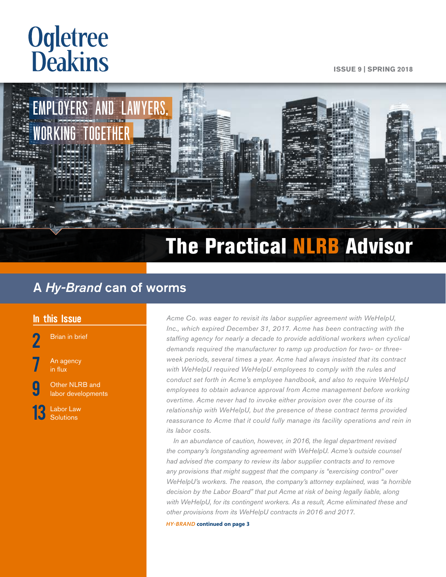# <span id="page-0-0"></span>**Ogletree**<br>**Deakins**

**ISSUE 9 | SPRING 2018**



# The Practical NLRB Advisor

## A *Hy-Brand* can of worms

[Brian in brief](#page-1-0)

An agency [in flux](#page-6-0)

**g** [Other NLRB and](#page-8-0) [labor developments](#page-8-0)

[13](#page-12-0) Labor Law<br> [Solutions](#page-12-0)

In this Issue *Acme Co. was eager to revisit its labor supplier agreement with WeHelpU,* $\frac{1}{2}$ *Inc., which expired December 31, 2017. Acme has been contracting with the staffing agency for nearly a decade to provide additional workers when cyclical demands required the manufacturer to ramp up production for two- or threeweek periods, several times a year. Acme had always insisted that its contract with WeHelpU required WeHelpU employees to comply with the rules and conduct set forth in Acme's employee handbook, and also to require WeHelpU employees to obtain advance approval from Acme management before working overtime. Acme never had to invoke either provision over the course of its relationship with WeHelpU, but the presence of these contract terms provided*  reassurance to Acme that it could fully manage its facility operations and rein in *its labor costs.*

> *In an abundance of caution, however, in 2016, the legal department revised the company's longstanding agreement with WeHelpU. Acme's outside counsel had advised the company to review its labor supplier contracts and to remove any provisions that might suggest that the company is "exercising control" over WeHelpU's workers. The reason, the company's attorney explained, was "a horrible decision by the Labor Board" that put Acme at risk of being legally liable, along with WeHelpU, for its contingent workers. As a result, Acme eliminated these and other provisions from its WeHelpU contracts in 2016 and 2017.*

*HY-BRAND* **[continued on page 3](#page-2-0)**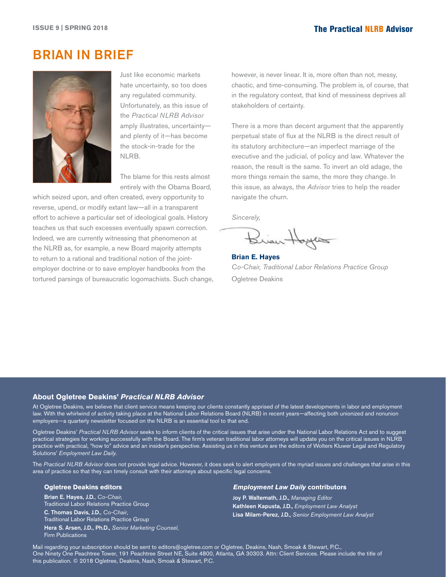## <span id="page-1-0"></span>BRIAN IN BRIEF



Just like economic markets hate uncertainty, so too does any regulated community. Unfortunately, as this issue of the *Practical NLRB Advisor*  amply illustrates, uncertainty and plenty of it—has become the stock-in-trade for the NLRB.

The blame for this rests almost entirely with the Obama Board,

which seized upon, and often created, every opportunity to reverse, upend, or modify extant law—all in a transparent effort to achieve a particular set of ideological goals. History teaches us that such excesses eventually spawn correction. Indeed, we are currently witnessing that phenomenon at the NLRB as, for example, a new Board majority attempts to return to a rational and traditional notion of the jointemployer doctrine or to save employer handbooks from the tortured parsings of bureaucratic logomachists. Such change, however, is never linear. It is, more often than not, messy, chaotic, and time-consuming. The problem is, of course, that in the regulatory context, that kind of messiness deprives all stakeholders of certainty.

There is a more than decent argument that the apparently perpetual state of flux at the NLRB is the direct result of its statutory architecture—an imperfect marriage of the executive and the judicial, of policy and law. Whatever the reason, the result is the same. To invert an old adage, the more things remain the same, the more they change. In this issue, as always, the *Advisor* tries to help the reader navigate the churn.

*Sincerely,*

Brian Hoyes

**Brian E. Hayes** *Co-Chair, Traditional Labor Relations Practice Group* Ogletree Deakins

#### **About Ogletree Deakins'** *Practical NLRB Advisor*

At Ogletree Deakins, we believe that client service means keeping our clients constantly apprised of the latest developments in labor and employment law. With the whirlwind of activity taking place at the National Labor Relations Board (NLRB) in recent years—affecting both unionized and nonunion employers—a quarterly newsletter focused on the NLRB is an essential tool to that end.

Ogletree Deakins' *Practical NLRB Advisor* seeks to inform clients of the critical issues that arise under the National Labor Relations Act and to suggest practical strategies for working successfully with the Board. The firm's veteran traditional labor attorneys will update you on the critical issues in NLRB practice with practical, "how to" advice and an insider's perspective. Assisting us in this venture are the editors of Wolters Kluwer Legal and Regulatory Solutions' *Employment Law Daily.*

The *Practical NLRB Advisor* does not provide legal advice. However, it does seek to alert employers of the myriad issues and challenges that arise in this area of practice so that they can timely consult with their attorneys about specific legal concerns.

#### **Ogletree Deakins editors**

Brian E. Hayes, J.D., *Co-Chair,* Traditional Labor Relations Practice Group C. Thomas Davis, J.D., *Co-Chair*, Traditional Labor Relations Practice Group Hera S. Arsen, J.D., Ph.D., *Senior Marketing Counsel*, Firm Publications

#### *Employment Law Daily* **contributors**

Joy P. Waltemath, J.D., *Managing Editor* Kathleen Kapusta, J.D., *Employment Law Analyst* Lisa Milam-Perez, J.D., *Senior Employment Law Analyst*

Mail regarding your subscription should be sent to [editors@ogletree.com](mailto:editors@ogletree.com) or Ogletree, Deakins, Nash, Smoak & Stewart, P.C., One Ninety One Peachtree Tower, 191 Peachtree Street NE, Suite 4800, Atlanta, GA 30303. Attn: Client Services. Please include the title of this publication. © 2018 Ogletree, Deakins, Nash, Smoak & Stewart, P.C.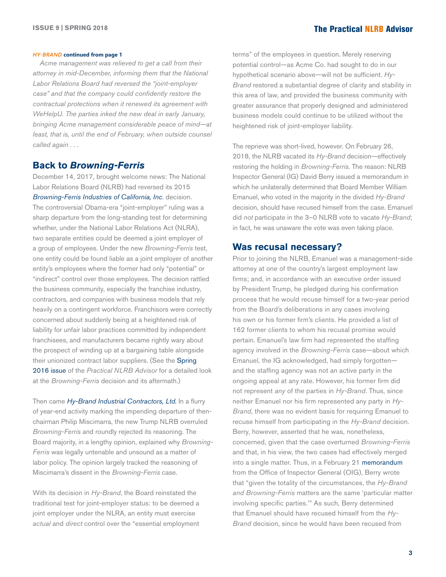#### <span id="page-2-0"></span>*HY-BRAND* **[continued from page 1](#page-0-0)**

*Acme management was relieved to get a call from their attorney in mid-December, informing them that the National Labor Relations Board had reversed the "joint-employer case" and that the company could confidently restore the contractual protections when it renewed its agreement with WeHelpU. The parties inked the new deal in early January, bringing Acme management considerable peace of mind—at least, that is, until the end of February, when outside counsel called again . . .*

#### **Back to** *Browning-Ferris*

December 14, 2017, brought welcome news: The National Labor Relations Board (NLRB) had reversed its 2015 *[Browning-Ferris Industries of California, Inc](http://hr.cch.com/ELD/BrowningFerris.pdf)*. decision. The controversial Obama-era "joint-employer" ruling was a sharp departure from the long-standing test for determining whether, under the National Labor Relations Act (NLRA), two separate entities could be deemed a joint employer of a group of employees. Under the new *Browning-Ferris* test, one entity could be found liable as a joint employer of another entity's employees where the former had only "potential" or "indirect" control over those employees. The decision rattled the business community, especially the franchise industry, contractors, and companies with business models that rely heavily on a contingent workforce. Franchisors were correctly concerned about suddenly being at a heightened risk of liability for unfair labor practices committed by independent franchisees, and manufacturers became rightly wary about the prospect of winding up at a bargaining table alongside their unionized contract labor suppliers. (See the Spring [2016 issue](https://ogletree.com/practices/~/media/51271e11141a438ca8136e17d8c534da.ashx) of the *Practical NLRB Advisor* for a detailed look at the *Browning-Ferris* decision and its aftermath.)

Then came *[Hy-Brand Industrial Contractors, Ltd](https://na01.safelinks.protection.outlook.com/?url=http%3A%2F%2Fhr.cch.com%2FELD%2FHyBrand121417.pdf&data=02%7C01%7CLisa.Milam-Perez%40wolterskluwer.com%7C8490ca984dd94883eb0608d5433bb863%7C8ac76c91e7f141ffa89c3553b2da2c17%7C1%7C1%7C636488846138592378&sdata=UpcY6LRaU5vy0Rx02npxxRlfUdQX8dqGaa4C7T5fzsM%3D&reserved=0).* In a flurry of year-end activity marking the impending departure of thenchairman Philip Miscimarra, the new Trump NLRB overruled *Browning-Ferris* and roundly rejected its reasoning. The Board majority, in a lengthy opinion, explained why *Browning-Ferris* was legally untenable and unsound as a matter of labor policy. The opinion largely tracked the reasoning of Miscimarra's dissent in the *Browning-Ferris* case.

With its decision in *Hy-Brand*, the Board reinstated the traditional test for joint-employer status: to be deemed a joint employer under the NLRA, an entity must exercise *actual* and *direct* control over the "essential employment

terms" of the employees in question. Merely reserving potential control—as Acme Co. had sought to do in our hypothetical scenario above—will not be sufficient. *Hy-Brand* restored a substantial degree of clarity and stability in this area of law, and provided the business community with greater assurance that properly designed and administered business models could continue to be utilized without the heightened risk of joint-employer liability.

The reprieve was short-lived, however. On February 26, 2018, the NLRB vacated its *Hy-Brand* decision—effectively restoring the holding in *Browning-Ferris*. The reason: NLRB Inspector General (IG) David Berry issued a memorandum in which he unilaterally determined that Board Member William Emanuel, who voted in the majority in the divided *Hy-Brand* decision, should have recused himself from the case. Emanuel did *not* participate in the 3–0 NLRB vote to vacate *Hy-Brand*; in fact, he was unaware the vote was even taking place.

#### **Was recusal necessary?**

Prior to joining the NLRB, Emanuel was a management-side attorney at one of the country's largest employment law firms; and, in accordance with an executive order issued by President Trump, he pledged during his confirmation process that he would recuse himself for a two-year period from the Board's deliberations in any cases involving his own or his former firm's clients. He provided a list of 162 former clients to whom his recusal promise would pertain. Emanuel's law firm had represented the staffing agency involved in the *Browning-Ferris* case—about which Emanuel, the IG acknowledged, had simply forgotten and the staffing agency was not an active party in the ongoing appeal at any rate. However, his former firm did not represent *any* of the parties in *Hy-Brand*. Thus, since neither Emanuel nor his firm represented any party in *Hy-Brand*, there was no evident basis for requiring Emanuel to recuse himself from participating in the *Hy-Brand* decision. Berry, however, asserted that he was, nonetheless, concerned, given that the case overturned *Browning-Ferris*  and that, in his view, the two cases had effectively merged into a single matter. Thus, in a February 21 [memorandum](https://www.nlrb.gov/sites/default/files/attachments/basic-page/node-1535/OIG%20Report%20Regarding%20Hy_Brand%20Deliberations.pdf) from the Office of Inspector General (OIG), Berry wrote that "given the totality of the circumstances, the *Hy-Brand and Browning-Ferris* matters are the same 'particular matter involving specific parties.'" As such, Berry determined that Emanuel should have recused himself from the *Hy-Brand* decision, since he would have been recused from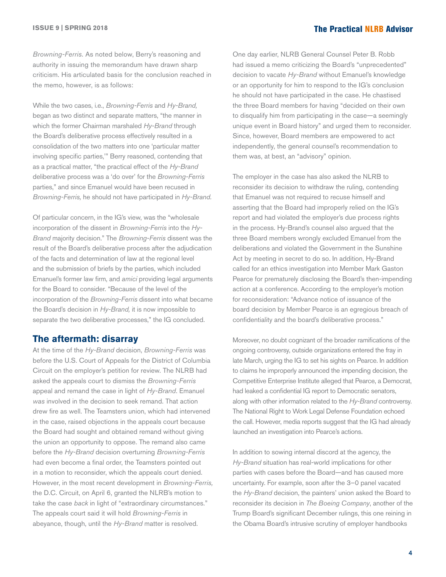*Browning-Ferris*. As noted below, Berry's reasoning and authority in issuing the memorandum have drawn sharp criticism. His articulated basis for the conclusion reached in the memo, however, is as follows:

While the two cases, i.e., *Browning-Ferris* and *Hy-Brand,*  began as two distinct and separate matters, "the manner in which the former Chairman marshaled *Hy-Brand* through the Board's deliberative process effectively resulted in a consolidation of the two matters into one 'particular matter involving specific parties,'" Berry reasoned, contending that as a practical matter, "the practical effect of the *Hy-Brand* deliberative process was a 'do over' for the *Browning-Ferris* parties," and since Emanuel would have been recused in *Browning-Ferris,* he should not have participated in *Hy-Brand.* 

Of particular concern, in the IG's view, was the "wholesale incorporation of the dissent in *Browning-Ferris* into the *Hy-Brand* majority decision." The *Browning-Ferris* dissent was the result of the Board's deliberative process after the adjudication of the facts and determination of law at the regional level and the submission of briefs by the parties, which included Emanuel's former law firm, and *amici* providing legal arguments for the Board to consider. "Because of the level of the incorporation of the *Browning-Ferris* dissent into what became the Board's decision in *Hy-Brand,* it is now impossible to separate the two deliberative processes," the IG concluded.

#### **The aftermath: disarray**

At the time of the *Hy-Brand* decision, *Browning-Ferris* was before the U.S. Court of Appeals for the District of Columbia Circuit on the employer's petition for review. The NLRB had asked the appeals court to dismiss the *Browning-Ferris* appeal and remand the case in light of *Hy-Brand*. Emanuel *was* involved in the decision to seek remand. That action drew fire as well. The Teamsters union, which had intervened in the case, raised objections in the appeals court because the Board had sought and obtained remand without giving the union an opportunity to oppose. The remand also came before the *Hy-Brand* decision overturning *Browning-Ferris* had even become a final order, the Teamsters pointed out in a motion to reconsider, which the appeals court denied. However, in the most recent development in *Browning-Ferris,* the D.C. Circuit, on April 6, granted the NLRB's motion to take the case *back* in light of "extraordinary circumstances." The appeals court said it will hold *Browning-Ferris* in abeyance, though, until the *Hy-Brand* matter is resolved.

One day earlier, NLRB General Counsel Peter B. Robb had issued a memo criticizing the Board's "unprecedented" decision to vacate *Hy-Brand* without Emanuel's knowledge or an opportunity for him to respond to the IG's conclusion he should not have participated in the case. He chastised the three Board members for having "decided on their own to disqualify him from participating in the case—a seemingly unique event in Board history" and urged them to reconsider. Since, however, Board members are empowered to act independently, the general counsel's recommendation to them was, at best, an "advisory" opinion.

The employer in the case has also asked the NLRB to reconsider its decision to withdraw the ruling, contending that Emanuel was not required to recuse himself and asserting that the Board had improperly relied on the IG's report and had violated the employer's due process rights in the process. Hy-Brand's counsel also argued that the three Board members wrongly excluded Emanuel from the deliberations and violated the Government in the Sunshine Act by meeting in secret to do so. In addition, Hy-Brand called for an ethics investigation into Member Mark Gaston Pearce for prematurely disclosing the Board's then-impending action at a conference. According to the employer's motion for reconsideration: "Advance notice of issuance of the board decision by Member Pearce is an egregious breach of confidentiality and the board's deliberative process."

Moreover, no doubt cognizant of the broader ramifications of the ongoing controversy, outside organizations entered the fray in late March, urging the IG to set his sights on Pearce. In addition to claims he improperly announced the impending decision, the Competitive Enterprise Institute alleged that Pearce, a Democrat, had leaked a confidential IG report to Democratic senators, along with other information related to the *Hy-Brand* controversy. The National Right to Work Legal Defense Foundation echoed the call. However, media reports suggest that the IG had already launched an investigation into Pearce's actions.

In addition to sowing internal discord at the agency, the *Hy-Brand* situation has real-world implications for other parties with cases before the Board—and has caused more uncertainty. For example, soon after the 3–0 panel vacated the *Hy-Brand* decision, the painters' union asked the Board to reconsider its decision in *The Boeing Company*, another of the Trump Board's significant December rulings, this one reining in the Obama Board's intrusive scrutiny of employer handbooks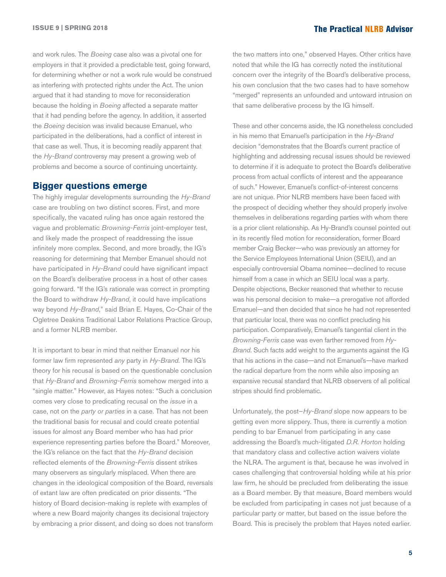and work rules. The *Boeing* case also was a pivotal one for employers in that it provided a predictable test, going forward, for determining whether or not a work rule would be construed as interfering with protected rights under the Act. The union argued that it had standing to move for reconsideration because the holding in *Boeing* affected a separate matter that it had pending before the agency. In addition, it asserted the *Boeing* decision was invalid because Emanuel, who participated in the deliberations, had a conflict of interest in that case as well. Thus, it is becoming readily apparent that the *Hy-Brand* controversy may present a growing web of problems and become a source of continuing uncertainty.

#### **Bigger questions emerge**

The highly irregular developments surrounding the *Hy-Brand* case are troubling on two distinct scores. First, and more specifically, the vacated ruling has once again restored the vague and problematic *Browning-Ferris* joint-employer test, and likely made the prospect of readdressing the issue infinitely more complex. Second, and more broadly, the IG's reasoning for determining that Member Emanuel should not have participated in *Hy-Brand* could have significant impact on the Board's deliberative process in a host of other cases going forward. "If the IG's rationale was correct in prompting the Board to withdraw *Hy-Brand*, it could have implications way beyond *Hy-Brand*," said Brian E. Hayes, Co-Chair of the Ogletree Deakins Traditional Labor Relations Practice Group, and a former NLRB member.

It is important to bear in mind that neither Emanuel nor his former law firm represented *any* party in *Hy-Brand.* The IG's theory for his recusal is based on the questionable conclusion that *Hy-Brand* and *Browning-Ferris* somehow merged into a "single matter." However, as Hayes notes: "Such a conclusion comes very close to predicating recusal on the *issue* in a case, not on the *party or parties* in a case. That has not been the traditional basis for recusal and could create potential issues for almost any Board member who has had prior experience representing parties before the Board." Moreover, the IG's reliance on the fact that the *Hy-Brand* decision reflected elements of the *Browning-Ferris* dissent strikes many observers as singularly misplaced. When there are changes in the ideological composition of the Board, reversals of extant law are often predicated on prior dissents. "The history of Board decision-making is replete with examples of where a new Board majority changes its decisional trajectory by embracing a prior dissent, and doing so does not transform the two matters into one," observed Hayes. Other critics have noted that while the IG has correctly noted the institutional concern over the integrity of the Board's deliberative process, his own conclusion that the two cases had to have somehow "merged" represents an unfounded and untoward intrusion on that same deliberative process by the IG himself.

These and other concerns aside, the IG nonetheless concluded in his memo that Emanuel's participation in the *Hy-Brand* decision "demonstrates that the Board's current practice of highlighting and addressing recusal issues should be reviewed to determine if it is adequate to protect the Board's deliberative process from actual conflicts of interest and the appearance of such." However, Emanuel's conflict-of-interest concerns are not unique. Prior NLRB members have been faced with the prospect of deciding whether they should properly involve themselves in deliberations regarding parties with whom there is a prior client relationship. As Hy-Brand's counsel pointed out in its recently filed motion for reconsideration, former Board member Craig Becker—who was previously an attorney for the Service Employees International Union (SEIU), and an especially controversial Obama nominee—declined to recuse himself from a case in which an SEIU local was a party. Despite objections, Becker reasoned that whether to recuse was his personal decision to make—a prerogative not afforded Emanuel—and then decided that since he had not represented that particular local, there was no conflict precluding his participation. Comparatively, Emanuel's tangential client in the *Browning-Ferris* case was even farther removed from *Hy-Brand*. Such facts add weight to the arguments against the IG that his actions in the case—and not Emanuel's—have marked the radical departure from the norm while also imposing an expansive recusal standard that NLRB observers of all political stripes should find problematic.

Unfortunately, the post–*Hy-Brand* slope now appears to be getting even more slippery. Thus, there is currently a motion pending to bar Emanuel from participating in any case addressing the Board's much-litigated *D.R. Horton* holding that mandatory class and collective action waivers violate the NLRA. The argument is that, because he was involved in cases challenging that controversial holding while at his prior law firm, he should be precluded from deliberating the issue as a Board member. By that measure, Board members would be excluded from participating in cases not just because of a particular party or matter, but based on the issue before the Board. This is precisely the problem that Hayes noted earlier.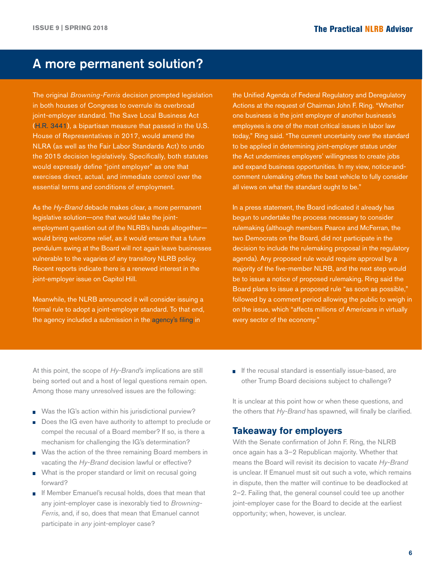## A more permanent solution?

The original *Browning-Ferris* decision prompted legislation in both houses of Congress to overrule its overbroad joint-employer standard. The Save Local Business Act ([H.R. 3441](https://www.congress.gov/115/bills/hr3441/BILLS-115hr3441rh.pdf)), a bipartisan measure that passed in the U.S. House of Representatives in 2017, would amend the NLRA (as well as the Fair Labor Standards Act) to undo the 2015 decision legislatively. Specifically, both statutes would expressly define "joint employer" as one that exercises direct, actual, and immediate control over the essential terms and conditions of employment.

As the *Hy-Brand* debacle makes clear, a more permanent legislative solution—one that would take the jointemployment question out of the NLRB's hands altogether would bring welcome relief, as it would ensure that a future pendulum swing at the Board will not again leave businesses vulnerable to the vagaries of any transitory NLRB policy. Recent reports indicate there is a renewed interest in the joint-employer issue on Capitol Hill.

Meanwhile, the NLRB announced it will consider issuing a formal rule to adopt a joint-employer standard. To that end, the agency included a submission in the [agency's filing](https://na01.safelinks.protection.outlook.com/?url=http%3A%2F%2Flinks.govdelivery.com%3A80%2Ftrack%3Ftype%3Dclick%26enid%3DZWFzPTEmbXNpZD0mYXVpZD0mbWFpbGluZ2lkPTIwMTgwNTA5Ljg5NTU3ODkxJm1lc3NhZ2VpZD1NREItUFJELUJVTC0yMDE4MDUwOS44OTU1Nzg5MSZkYXRhYmFzZWlkPTEwMDEmc2VyaWFsPTE3MDA3MjIzJmVtYWlsaWQ9bGlzYS5taWxhbS1wZXJlekB3b2x0ZXJza2x1d2VyLmNvbSZ1c2VyaWQ9bGlzYS5taWxhbS1wZXJlekB3b2x0ZXJza2x1d2VyLmNvbSZ0YXJnZXRpZD0mZmw9JmV4dHJhPU11bHRpdmFyaWF0ZUlkPSYmJg%3D%3D%26%26%26100%26%26%26https%3A%2F%2Fwww.reginfo.gov%2Fpublic%2Fdo%2FeAgendaViewRule%3FpubId%3D201804%26RIN%3D3142-AA13&data=02%7C01%7Clisa.milam-perez%40wolterskluwer.com%7Ce508d709e1334895204608d5b5dcf3f4%7C8ac76c91e7f141ffa89c3553b2da2c17%7C1%7C0%7C636614882959309074&sdata=aGc%2BBgrvV7Vi2wNxpsosFZkO15OvdK%2B95bktnjPU%2Fjw%3D&reserved=0) in

the Unified Agenda of Federal Regulatory and Deregulatory Actions at the request of Chairman John F. Ring. "Whether one business is the joint employer of another business's employees is one of the most critical issues in labor law today," Ring said. "The current uncertainty over the standard to be applied in determining joint-employer status under the Act undermines employers' willingness to create jobs and expand business opportunities. In my view, notice-andcomment rulemaking offers the best vehicle to fully consider all views on what the standard ought to be."

In a press statement, the Board indicated it already has begun to undertake the process necessary to consider rulemaking (although members Pearce and McFerran, the two Democrats on the Board, did not participate in the decision to include the rulemaking proposal in the regulatory agenda). Any proposed rule would require approval by a majority of the five-member NLRB, and the next step would be to issue a notice of proposed rulemaking. Ring said the Board plans to issue a proposed rule "as soon as possible," followed by a comment period allowing the public to weigh in on the issue, which "affects millions of Americans in virtually every sector of the economy."

At this point, the scope of *Hy-Brand's* implications are still being sorted out and a host of legal questions remain open. Among those many unresolved issues are the following:

- Was the IG's action within his jurisdictional purview?
- Does the IG even have authority to attempt to preclude or m. compel the recusal of a Board member? If so, is there a mechanism for challenging the IG's determination?
- Was the action of the three remaining Board members in vacating the *Hy-Brand* decision lawful or effective?
- What is the proper standard or limit on recusal going forward?
- **If Member Emanuel's recusal holds, does that mean that** any joint-employer case is inexorably tied to *Browning-Ferris*, and, if so, does that mean that Emanuel cannot participate in *any* joint-employer case?

If the recusal standard is essentially issue-based, are other Trump Board decisions subject to challenge?

It is unclear at this point how or when these questions, and the others that *Hy-Brand* has spawned, will finally be clarified.

#### **Takeaway for employers**

With the Senate confirmation of John F. Ring, the NLRB once again has a 3–2 Republican majority. Whether that means the Board will revisit its decision to vacate *Hy-Brand* is unclear. If Emanuel must sit out such a vote, which remains in dispute, then the matter will continue to be deadlocked at 2–2. Failing that, the general counsel could tee up another joint-employer case for the Board to decide at the earliest opportunity; when, however, is unclear.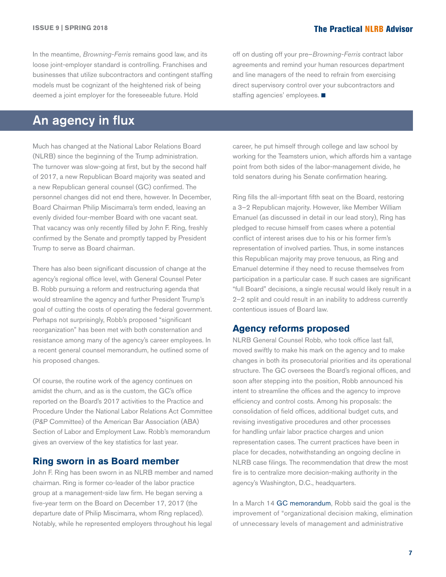<span id="page-6-0"></span>In the meantime, *Browning-Ferris* remains good law, and its loose joint-employer standard is controlling. Franchises and businesses that utilize subcontractors and contingent staffing models must be cognizant of the heightened risk of being deemed a joint employer for the foreseeable future. Hold

off on dusting off your pre–*Browning-Ferris* contract labor agreements and remind your human resources department and line managers of the need to refrain from exercising direct supervisory control over your subcontractors and staffing agencies' employees.  $\blacksquare$ 

## An agency in flux

Much has changed at the National Labor Relations Board (NLRB) since the beginning of the Trump administration. The turnover was slow-going at first, but by the second half of 2017, a new Republican Board majority was seated and a new Republican general counsel (GC) confirmed. The personnel changes did not end there, however. In December, Board Chairman Philip Miscimarra's term ended, leaving an evenly divided four-member Board with one vacant seat. That vacancy was only recently filled by John F. Ring, freshly confirmed by the Senate and promptly tapped by President Trump to serve as Board chairman.

There has also been significant discussion of change at the agency's regional office level, with General Counsel Peter B. Robb pursuing a reform and restructuring agenda that would streamline the agency and further President Trump's goal of cutting the costs of operating the federal government. Perhaps not surprisingly, Robb's proposed "significant reorganization" has been met with both consternation and resistance among many of the agency's career employees. In a recent general counsel memorandum, he outlined some of his proposed changes.

Of course, the routine work of the agency continues on amidst the churn, and as is the custom, the GC's office reported on the Board's 2017 activities to the Practice and Procedure Under the National Labor Relations Act Committee (P&P Committee) of the American Bar Association (ABA) Section of Labor and Employment Law. Robb's memorandum gives an overview of the key statistics for last year.

#### **Ring sworn in as Board member**

John F. Ring has been sworn in as NLRB member and named chairman. Ring is former co-leader of the labor practice group at a management-side law firm. He began serving a five-year term on the Board on December 17, 2017 (the departure date of Philip Miscimarra, whom Ring replaced). Notably, while he represented employers throughout his legal

career, he put himself through college and law school by working for the Teamsters union, which affords him a vantage point from both sides of the labor-management divide, he told senators during his Senate confirmation hearing.

Ring fills the all-important fifth seat on the Board, restoring a 3–2 Republican majority. However, like Member William Emanuel (as discussed in detail in our lead story), Ring has pledged to recuse himself from cases where a potential conflict of interest arises due to his or his former firm's representation of involved parties. Thus, in some instances this Republican majority may prove tenuous, as Ring and Emanuel determine if they need to recuse themselves from participation in a particular case. If such cases are significant "full Board" decisions, a single recusal would likely result in a 2–2 split and could result in an inability to address currently contentious issues of Board law.

#### **Agency reforms proposed**

NLRB General Counsel Robb, who took office last fall, moved swiftly to make his mark on the agency and to make changes in both its prosecutorial priorities and its operational structure. The GC oversees the Board's regional offices, and soon after stepping into the position, Robb announced his intent to streamline the offices and the agency to improve efficiency and control costs. Among his proposals: the consolidation of field offices, additional budget cuts, and revising investigative procedures and other processes for handling unfair labor practice charges and union representation cases. The current practices have been in place for decades, notwithstanding an ongoing decline in NLRB case filings. The recommendation that drew the most fire is to centralize more decision-making authority in the agency's Washington, D.C., headquarters.

In a March 14 [GC memorandum,](http://hr.cch.com/eld/GC18_03MidwinterMeetingofABAP_P(1).pdf) Robb said the goal is the improvement of "organizational decision making, elimination of unnecessary levels of management and administrative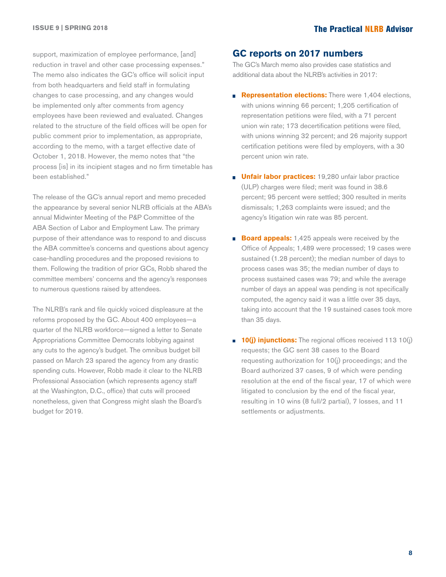support, maximization of employee performance, [and] reduction in travel and other case processing expenses." The memo also indicates the GC's office will solicit input from both headquarters and field staff in formulating changes to case processing, and any changes would be implemented only after comments from agency employees have been reviewed and evaluated. Changes related to the structure of the field offices will be open for public comment prior to implementation, as appropriate, according to the memo, with a target effective date of October 1, 2018. However, the memo notes that "the process [is] in its incipient stages and no firm timetable has been established."

The release of the GC's annual report and memo preceded the appearance by several senior NLRB officials at the ABA's annual Midwinter Meeting of the P&P Committee of the ABA Section of Labor and Employment Law. The primary purpose of their attendance was to respond to and discuss the ABA committee's concerns and questions about agency case-handling procedures and the proposed revisions to them. Following the tradition of prior GCs, Robb shared the committee members' concerns and the agency's responses to numerous questions raised by attendees.

The NLRB's rank and file quickly voiced displeasure at the reforms proposed by the GC. About 400 employees—a quarter of the NLRB workforce—signed a letter to Senate Appropriations Committee Democrats lobbying against any cuts to the agency's budget. The omnibus budget bill passed on March 23 spared the agency from any drastic spending cuts. However, Robb made it clear to the NLRB Professional Association (which represents agency staff at the Washington, D.C., office) that cuts will proceed nonetheless, given that Congress might slash the Board's budget for 2019.

### **GC reports on 2017 numbers**

The GC's March memo also provides case statistics and additional data about the NLRB's activities in 2017:

- **Representation elections:** There were 1,404 elections, with unions winning 66 percent; 1,205 certification of representation petitions were filed, with a 71 percent union win rate; 173 decertification petitions were filed, with unions winning 32 percent; and 26 majority support certification petitions were filed by employers, with a 30 percent union win rate.
- **Unfair labor practices:** 19,280 unfair labor practice (ULP) charges were filed; merit was found in 38.6 percent; 95 percent were settled; 300 resulted in merits dismissals; 1,263 complaints were issued; and the agency's litigation win rate was 85 percent.
- **Board appeals:** 1,425 appeals were received by the Office of Appeals; 1,489 were processed; 19 cases were sustained (1.28 percent); the median number of days to process cases was 35; the median number of days to process sustained cases was 79; and while the average number of days an appeal was pending is not specifically computed, the agency said it was a little over 35 days, taking into account that the 19 sustained cases took more than 35 days.
- **10(j) injunctions:** The regional offices received 113 10(j) requests; the GC sent 38 cases to the Board requesting authorization for 10(j) proceedings; and the Board authorized 37 cases, 9 of which were pending resolution at the end of the fiscal year, 17 of which were litigated to conclusion by the end of the fiscal year, resulting in 10 wins (8 full/2 partial), 7 losses, and 11 settlements or adjustments.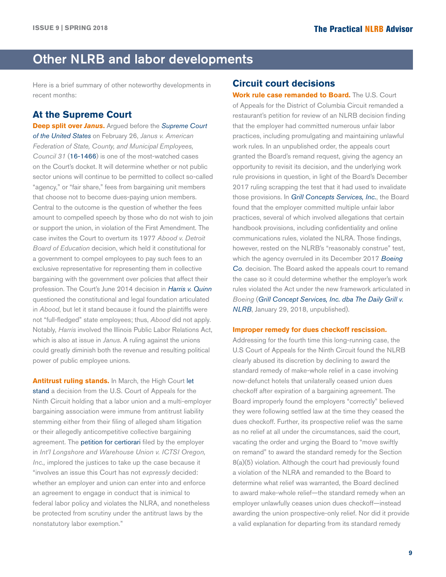# <span id="page-8-0"></span>Other NLRB and labor developments

Here is a brief summary of other noteworthy developments in recent months:

## **At the Supreme Court**

**Deep split over** *Janus***.** Argued before the *[Supreme Court](https://www.supremecourt.gov/oral_arguments/argument_transcripts/2017/16-1466_gebh.pdf)  [of the United States](https://www.supremecourt.gov/oral_arguments/argument_transcripts/2017/16-1466_gebh.pdf)* on February 26, *Janus v. American Federation of State, County, and Municipal Employees, Council 31* ([16-1466](http://hr.cch.com/eld/16-1466Janus-AFSCME.pdf)) is one of the most-watched cases on the Court's docket. It will determine whether or not public sector unions will continue to be permitted to collect so-called "agency," or "fair share," fees from bargaining unit members that choose not to become dues-paying union members. Central to the outcome is the question of whether the fees amount to compelled speech by those who do not wish to join or support the union, in violation of the First Amendment. The case invites the Court to overturn its 1977 *Abood v. Detroit Board of Education* decision, which held it constitutional for a government to compel employees to pay such fees to an exclusive representative for representing them in collective bargaining with the government over policies that affect their profession. The Court's June 2014 decision in *[Harris v. Quinn](http://hr.cch.com/eld/88f23ae67be71000b9a0e0db5501c0ed01.pdf)* questioned the constitutional and legal foundation articulated in *Abood*, but let it stand because it found the plaintiffs were not "full-fledged" state employees; thus, *Abood* did not apply. Notably, *Harris* involved the Illinois Public Labor Relations Act, which is also at issue in *Janus*. A ruling against the unions could greatly diminish both the revenue and resulting political power of public employee unions.

**Antitrust ruling stands.** In March, the High Court [let](https://www.supremecourt.gov/orders/courtorders/030518zor_pnk0.pdf)  [stand](https://www.supremecourt.gov/orders/courtorders/030518zor_pnk0.pdf) a decision from the U.S. Court of Appeals for the Ninth Circuit holding that a labor union and a multi-employer bargaining association were immune from antitrust liability stemming either from their filing of alleged sham litigation or their allegedly anticompetitive collective bargaining agreement. The **[petition for certiorari](http://hr.cch.com/eld/17-770ICTSIOregon-ILWU.pdf)** filed by the employer in *Int'l Longshore and Warehouse Union v. ICTSI Oregon, Inc.,* implored the justices to take up the case because it "involves an issue this Court has not *expressly* decided: whether an employer and union can enter into and enforce an agreement to engage in conduct that is inimical to federal labor policy and violates the NLRA, and nonetheless be protected from scrutiny under the antitrust laws by the nonstatutory labor exemption."

#### **Circuit court decisions**

**Work rule case remanded to Board.** The U.S. Court of Appeals for the District of Columbia Circuit remanded a restaurant's petition for review of an NLRB decision finding that the employer had committed numerous unfair labor practices, including promulgating and maintaining unlawful work rules. In an unpublished order, the appeals court granted the Board's remand request, giving the agency an opportunity to revisit its decision, and the underlying work rule provisions in question, in light of the Board's December 2017 ruling scrapping the test that it had used to invalidate those provisions. In *[Grill Concepts Services, Inc.](http://hr.cch.com/ELD/GrillConcepts0636162.pdf)*, the Board found that the employer committed multiple unfair labor practices, several of which involved allegations that certain handbook provisions, including confidentiality and online communications rules, violated the NLRA. Those findings, however, rested on the NLRB's "reasonably construe" test, which the agency overruled in its December 2017 *[Boeing](http://hr.cch.com/ELD/TheBoeingCo121417.pdf)  [Co](http://hr.cch.com/ELD/TheBoeingCo121417.pdf)*. decision. The Board asked the appeals court to remand the case so it could determine whether the employer's work rules violated the Act under the new framework articulated in *Boeing* (*[Grill Concept Services, Inc. dba The Daily Grill v.](http://hr.cch.com/ELD/GrillNLRB012918.pdf)  [NLRB](http://hr.cch.com/ELD/GrillNLRB012918.pdf)*, January 29, 2018, unpublished).

#### **Improper remedy for dues checkoff rescission.**

Addressing for the fourth time this long-running case, the U.S Court of Appeals for the Ninth Circuit found the NLRB clearly abused its discretion by declining to award the standard remedy of make-whole relief in a case involving now-defunct hotels that unilaterally ceased union dues checkoff after expiration of a bargaining agreement. The Board improperly found the employers "correctly" believed they were following settled law at the time they ceased the dues checkoff. Further, its prospective relief was the same as no relief at all under the circumstances, said the court, vacating the order and urging the Board to "move swiftly on remand" to award the standard remedy for the Section 8(a)(5) violation. Although the court had previously found a violation of the NLRA and remanded to the Board to determine what relief was warranted, the Board declined to award make-whole relief—the standard remedy when an employer unlawfully ceases union dues checkoff—instead awarding the union prospective-only relief. Nor did it provide a valid explanation for departing from its standard remedy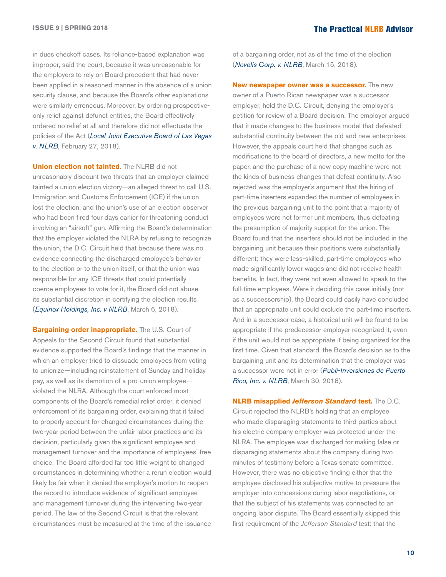in dues checkoff cases. Its reliance-based explanation was improper, said the court, because it was unreasonable for the employers to rely on Board precedent that had never been applied in a reasoned manner in the absence of a union security clause, and because the Board's other explanations were similarly erroneous. Moreover, by ordering prospectiveonly relief against defunct entities, the Board effectively ordered no relief at all and therefore did not effectuate the policies of the Act (*[Local Joint Executive Board of Las Vegas](https://na01.safelinks.protection.outlook.com/?url=http%3A%2F%2Fhr.cch.com%2FELD%2FLocalJointExecBdNLRB022718.pdf&data=02%7C01%7CLisa.Milam-Perez%40wolterskluwer.com%7C8e0c292db1e94b97e5a808d57e218a87%7C8ac76c91e7f141ffa89c3553b2da2c17%7C1%7C1%7C636553604903467602&sdata=KzbCHun6POEZEXKSvqFkL9K4IZNVrKqJSaJihMDJtNs%3D&reserved=0)  [v. NLRB](https://na01.safelinks.protection.outlook.com/?url=http%3A%2F%2Fhr.cch.com%2FELD%2FLocalJointExecBdNLRB022718.pdf&data=02%7C01%7CLisa.Milam-Perez%40wolterskluwer.com%7C8e0c292db1e94b97e5a808d57e218a87%7C8ac76c91e7f141ffa89c3553b2da2c17%7C1%7C1%7C636553604903467602&sdata=KzbCHun6POEZEXKSvqFkL9K4IZNVrKqJSaJihMDJtNs%3D&reserved=0)*, February 27, 2018).

**Union election not tainted.** The NLRB did not unreasonably discount two threats that an employer claimed tainted a union election victory—an alleged threat to call U.S. Immigration and Customs Enforcement (ICE) if the union lost the election, and the union's use of an election observer who had been fired four days earlier for threatening conduct involving an "airsoft" gun. Affirming the Board's determination that the employer violated the NLRA by refusing to recognize the union, the D.C. Circuit held that because there was no evidence connecting the discharged employee's behavior to the election or to the union itself, or that the union was responsible for any ICE threats that could potentially coerce employees to vote for it, the Board did not abuse its substantial discretion in certifying the election results (*[Equinox Holdings, Inc. v NLRB](http://hr.cch.com/ELD/EquinoxNLRB030918.pdf)*, March 6, 2018).

**Bargaining order inappropriate.** The U.S. Court of Appeals for the Second Circuit found that substantial evidence supported the Board's findings that the manner in which an employer tried to dissuade employees from voting to unionize—including reinstatement of Sunday and holiday pay, as well as its demotion of a pro-union employee violated the NLRA. Although the court enforced most components of the Board's remedial relief order, it denied enforcement of its bargaining order, explaining that it failed to properly account for changed circumstances during the two-year period between the unfair labor practices and its decision, particularly given the significant employee and management turnover and the importance of employees' free choice. The Board afforded far too little weight to changed circumstances in determining whether a rerun election would likely be fair when it denied the employer's motion to reopen the record to introduce evidence of significant employee and management turnover during the intervening two-year period. The law of the Second Circuit is that the relevant circumstances must be measured at the time of the issuance of a bargaining order, not as of the time of the election (*[Novelis Corp. v. NLRB](http://hr.cch.com/eld/NovelisNLRB031518.pdf)*, March 15, 2018).

**New newspaper owner was a successor.** The new owner of a Puerto Rican newspaper was a successor employer, held the D.C. Circuit, denying the employer's petition for review of a Board decision. The employer argued that it made changes to the business model that defeated substantial continuity between the old and new enterprises. However, the appeals court held that changes such as modifications to the board of directors, a new motto for the paper, and the purchase of a new copy machine were not the kinds of business changes that defeat continuity. Also rejected was the employer's argument that the hiring of part-time inserters expanded the number of employees in the previous bargaining unit to the point that a majority of employees were not former unit members, thus defeating the presumption of majority support for the union. The Board found that the inserters should not be included in the bargaining unit because their positions were substantially different; they were less-skilled, part-time employees who made significantly lower wages and did not receive health benefits. In fact, they were not even allowed to speak to the full-time employees. Were it deciding this case initially (not as a successorship), the Board could easily have concluded that an appropriate unit could exclude the part-time inserters. And in a successor case, a historical unit will be found to be appropriate if the predecessor employer recognized it, even if the unit would not be appropriate if being organized for the first time. Given that standard, the Board's decision as to the bargaining unit and its determination that the employer was a successor were not in error (*[Publi-Inversiones de Puerto](http://hr.cch.com/eld/PubliInversionesNLRB033018.pdf)  [Rico, Inc. v. NLRB](http://hr.cch.com/eld/PubliInversionesNLRB033018.pdf)*, March 30, 2018).

**NLRB misapplied** *Jefferson Standard* **test.** The D.C. Circuit rejected the NLRB's holding that an employee who made disparaging statements to third parties about his electric company employer was protected under the NLRA. The employee was discharged for making false or disparaging statements about the company during two minutes of testimony before a Texas senate committee. However, there was no objective finding either that the employee disclosed his subjective motive to pressure the employer into concessions during labor negotiations, or that the subject of his statements was connected to an ongoing labor dispute. The Board essentially skipped this first requirement of the *Jefferson Standard* test: that the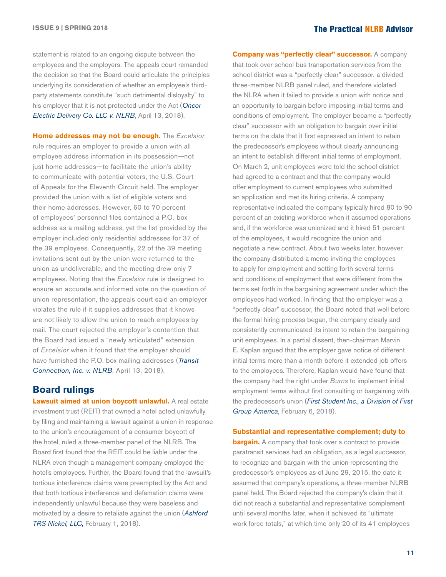statement is related to an ongoing dispute between the employees and the employers. The appeals court remanded the decision so that the Board could articulate the principles underlying its consideration of whether an employee's thirdparty statements constitute "such detrimental disloyalty" to his employer that it is not protected under the Act (*[Oncor](http://hr.cch.com/eld/OncorNLRB041318.pdf)  [Electric Delivery Co. LLC v. NLRB](http://hr.cch.com/eld/OncorNLRB041318.pdf)*, April 13, 2018).

**Home addresses may not be enough.** The *Excelsior* rule requires an employer to provide a union with all employee address information in its possession—not just home addresses—to facilitate the union's ability to communicate with potential voters, the U.S. Court of Appeals for the Eleventh Circuit held. The employer provided the union with a list of eligible voters and their home addresses. However, 60 to 70 percent of employees' personnel files contained a P.O. box address as a mailing address, yet the list provided by the employer included only residential addresses for 37 of the 39 employees. Consequently, 22 of the 39 meeting invitations sent out by the union were returned to the union as undeliverable, and the meeting drew only 7 employees. Noting that the *Excelsior* rule is designed to ensure an accurate and informed vote on the question of union representation, the appeals court said an employer violates the rule if it supplies addresses that it knows are not likely to allow the union to reach employees by mail. The court rejected the employer's contention that the Board had issued a "newly articulated" extension of *Excelsior* when it found that the employer should have furnished the P.O. box mailing addresses (*[Transit](http://hr.cch.com/ELD/TransitNLRB041318.pdf)  [Connection, Inc. v. NLRB](http://hr.cch.com/ELD/TransitNLRB041318.pdf)*, April 13, 2018).

#### **Board rulings**

**Lawsuit aimed at union boycott unlawful.** A real estate investment trust (REIT) that owned a hotel acted unlawfully by filing and maintaining a lawsuit against a union in response to the union's encouragement of a consumer boycott of the hotel, ruled a three-member panel of the NLRB. The Board first found that the REIT could be liable under the NLRA even though a management company employed the hotel's employees. Further, the Board found that the lawsuit's tortious interference claims were preempted by the Act and that both tortious interference and defamation claims were independently unlawful because they were baseless and motivated by a desire to retaliate against the union (*[Ashford](http://hr.cch.com/eld/AshfordTRS020118.pdf)  [TRS Nickel, LLC](http://hr.cch.com/eld/AshfordTRS020118.pdf)*, February 1, 2018).

**Company was "perfectly clear" successor.** A company that took over school bus transportation services from the school district was a "perfectly clear" successor, a divided three-member NLRB panel ruled, and therefore violated the NLRA when it failed to provide a union with notice and an opportunity to bargain before imposing initial terms and conditions of employment. The employer became a "perfectly clear" successor with an obligation to bargain over initial terms on the date that it first expressed an intent to retain the predecessor's employees without clearly announcing an intent to establish different initial terms of employment. On March 2, unit employees were told the school district had agreed to a contract and that the company would offer employment to current employees who submitted an application and met its hiring criteria. A company representative indicated the company typically hired 80 to 90 percent of an existing workforce when it assumed operations and, if the workforce was unionized and it hired 51 percent of the employees, it would recognize the union and negotiate a new contract. About two weeks later, however, the company distributed a memo inviting the employees to apply for employment and setting forth several terms and conditions of employment that were different from the terms set forth in the bargaining agreement under which the employees had worked. In finding that the employer was a "perfectly clear" successor, the Board noted that well before the formal hiring process began, the company clearly and consistently communicated its intent to retain the bargaining unit employees. In a partial dissent, then-chairman Marvin E. Kaplan argued that the employer gave notice of different initial terms more than a month before it extended job offers to the employees. Therefore, Kaplan would have found that the company had the right under *Burns* to implement initial employment terms without first consulting or bargaining with the predecessor's union (*[First Student Inc., a Division of First](http://hr.cch.com/eld/FirstStudent020618.pdf)  [Group America](http://hr.cch.com/eld/FirstStudent020618.pdf)*, February 6, 2018).

#### **Substantial and representative complement; duty to**

**bargain.** A company that took over a contract to provide paratransit services had an obligation, as a legal successor, to recognize and bargain with the union representing the predecessor's employees as of June 29, 2015, the date it assumed that company's operations, a three-member NLRB panel held. The Board rejected the company's claim that it did not reach a substantial and representative complement until several months later, when it achieved its "ultimate work force totals," at which time only 20 of its 41 employees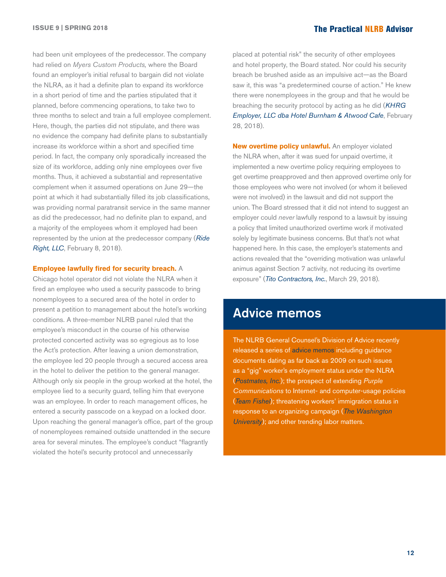had been unit employees of the predecessor. The company had relied on *Myers Custom Products,* where the Board found an employer's initial refusal to bargain did not violate the NLRA, as it had a definite plan to expand its workforce in a short period of time and the parties stipulated that it planned, before commencing operations, to take two to three months to select and train a full employee complement. Here, though, the parties did not stipulate, and there was no evidence the company had definite plans to substantially increase its workforce within a short and specified time period. In fact, the company only sporadically increased the size of its workforce, adding only nine employees over five months. Thus, it achieved a substantial and representative complement when it assumed operations on June 29—the point at which it had substantially filled its job classifications, was providing normal paratransit service in the same manner as did the predecessor, had no definite plan to expand, and a majority of the employees whom it employed had been represented by the union at the predecessor company (*[Ride](http://hr.cch.com/eld/RideRight020818.pdf)  [Right, LLC](http://hr.cch.com/eld/RideRight020818.pdf)*, February 8, 2018).

#### **Employee lawfully fired for security breach.** A

Chicago hotel operator did not violate the NLRA when it fired an employee who used a security passcode to bring nonemployees to a secured area of the hotel in order to present a petition to management about the hotel's working conditions. A three-member NLRB panel ruled that the employee's misconduct in the course of his otherwise protected concerted activity was so egregious as to lose the Act's protection. After leaving a union demonstration, the employee led 20 people through a secured access area in the hotel to deliver the petition to the general manager. Although only six people in the group worked at the hotel, the employee lied to a security guard, telling him that everyone was an employee. In order to reach management offices, he entered a security passcode on a keypad on a locked door. Upon reaching the general manager's office, part of the group of nonemployees remained outside unattended in the secure area for several minutes. The employee's conduct "flagrantly violated the hotel's security protocol and unnecessarily

placed at potential risk" the security of other employees and hotel property, the Board stated. Nor could his security breach be brushed aside as an impulsive act—as the Board saw it, this was "a predetermined course of action." He knew there were nonemployees in the group and that he would be breaching the security protocol by acting as he did (*[KHRG](http://hr.cch.com/eld/KHRGEmployer022818.pdf)  [Employer, LLC dba Hotel Burnham & Atwood Cafe](http://hr.cch.com/eld/KHRGEmployer022818.pdf)*, February 28, 2018).

**New overtime policy unlawful.** An employer violated the NLRA when, after it was sued for unpaid overtime, it implemented a new overtime policy requiring employees to get overtime preapproved and then approved overtime only for those employees who were not involved (or whom it believed were not involved) in the lawsuit and did not support the union. The Board stressed that it did not intend to suggest an employer could *never* lawfully respond to a lawsuit by issuing a policy that limited unauthorized overtime work if motivated solely by legitimate business concerns. But that's not what happened here. In this case, the employer's statements and actions revealed that the "overriding motivation was unlawful animus against Section 7 activity, not reducing its overtime exposure" (*[Tito Contractors, Inc.](http://hr.cch.com/ELD/TitoContractors032918.pdf)*, March 29, 2018).

## Advice memos

The NLRB General Counsel's Division of Advice recently released a series of [advice memos](https://www.nlrb.gov/cases-decisions/advice-memos/recently-released) including guidance documents dating as far back as 2009 on such issues as a "gig" worker's employment status under the NLRA (*[Postmates, Inc.](https://na01.safelinks.protection.outlook.com/?url=http%3A%2F%2Fhr.cch.com%2FELD%2FPostmates091916.pdf&data=02%7C01%7CLisa.Milam-Perez%40wolterskluwer.com%7C8b45b74a9d4d40deaa0308d5795d355f%7C8ac76c91e7f141ffa89c3553b2da2c17%7C1%7C1%7C636548363624533422&sdata=ZOb2bvViDTdplKZYQlemfOjweM6QG3E6G0T5QOy7JsM%3D&reserved=0)*); the prospect of extending *Purple Communications* to Internet- and computer-usage policies (*[Team Fishel](https://na01.safelinks.protection.outlook.com/?url=http%3A%2F%2Fhr.cch.com%2FELD%2FTeamFishel032317.pdf&data=02%7C01%7CLisa.Milam-Perez%40wolterskluwer.com%7C8b45b74a9d4d40deaa0308d5795d355f%7C8ac76c91e7f141ffa89c3553b2da2c17%7C1%7C1%7C636548363624533422&sdata=vufIUdQSUweqejPv8HO2E5UjOVSz5BGjpk%2FOqgmQQqw%3D&reserved=0)*); threatening workers' immigration status in response to an organizing campaign (*[The Washington](https://na01.safelinks.protection.outlook.com/?url=http%3A%2F%2Fhr.cch.com%2FELD%2FWashingtonUniv103117.pdf&data=02%7C01%7CLisa.Milam-Perez%40wolterskluwer.com%7C8b45b74a9d4d40deaa0308d5795d355f%7C8ac76c91e7f141ffa89c3553b2da2c17%7C1%7C1%7C636548363624533422&sdata=kr%2Bi5wUT8O2rvBBD72XuHlIBYPA16aX%2FTfK6GTHIAO8%3D&reserved=0)  [University](https://na01.safelinks.protection.outlook.com/?url=http%3A%2F%2Fhr.cch.com%2FELD%2FWashingtonUniv103117.pdf&data=02%7C01%7CLisa.Milam-Perez%40wolterskluwer.com%7C8b45b74a9d4d40deaa0308d5795d355f%7C8ac76c91e7f141ffa89c3553b2da2c17%7C1%7C1%7C636548363624533422&sdata=kr%2Bi5wUT8O2rvBBD72XuHlIBYPA16aX%2FTfK6GTHIAO8%3D&reserved=0)*); and other trending labor matters.